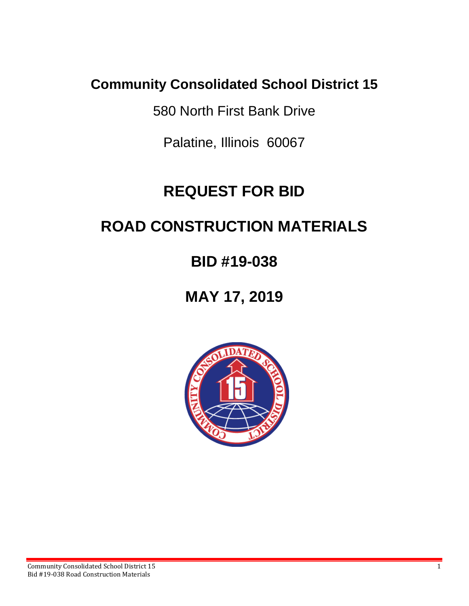### **Community Consolidated School District 15**

580 North First Bank Drive

Palatine, Illinois 60067

# **REQUEST FOR BID**

# **ROAD CONSTRUCTION MATERIALS**

# **BID #19-038**

## **MAY 17, 2019**

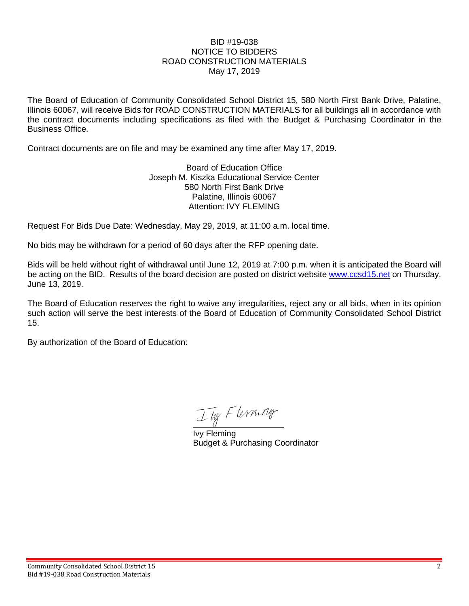#### BID #19-038 NOTICE TO BIDDERS ROAD CONSTRUCTION MATERIALS May 17, 2019

The Board of Education of Community Consolidated School District 15, 580 North First Bank Drive, Palatine, Illinois 60067, will receive Bids for ROAD CONSTRUCTION MATERIALS for all buildings all in accordance with the contract documents including specifications as filed with the Budget & Purchasing Coordinator in the Business Office.

Contract documents are on file and may be examined any time after May 17, 2019.

Board of Education Office Joseph M. Kiszka Educational Service Center 580 North First Bank Drive Palatine, Illinois 60067 Attention: IVY FLEMING

Request For Bids Due Date: Wednesday, May 29, 2019, at 11:00 a.m. local time.

No bids may be withdrawn for a period of 60 days after the RFP opening date.

Bids will be held without right of withdrawal until June 12, 2019 at 7:00 p.m. when it is anticipated the Board will be acting on the BID. Results of the board decision are posted on district website [www.ccsd15.net](http://www.ccsd15.net/) on Thursday, June 13, 2019.

The Board of Education reserves the right to waive any irregularities, reject any or all bids, when in its opinion such action will serve the best interests of the Board of Education of Community Consolidated School District 15.

By authorization of the Board of Education:

Ily Fleming

Ivy Fleming Budget & Purchasing Coordinator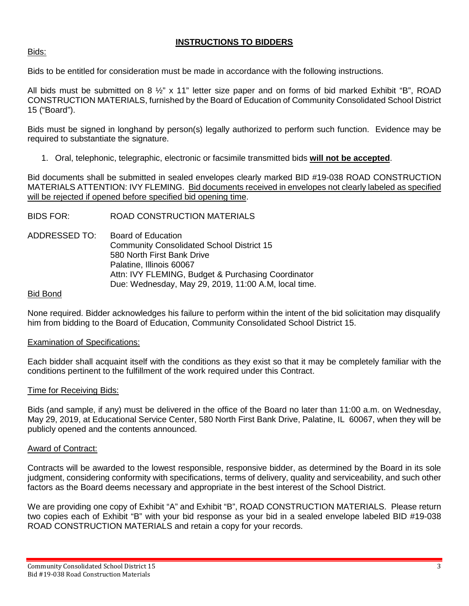### **INSTRUCTIONS TO BIDDERS**

#### Bids:

Bids to be entitled for consideration must be made in accordance with the following instructions.

All bids must be submitted on 8  $\frac{1}{2}$ " x 11" letter size paper and on forms of bid marked Exhibit "B", ROAD CONSTRUCTION MATERIALS, furnished by the Board of Education of Community Consolidated School District 15 ("Board").

Bids must be signed in longhand by person(s) legally authorized to perform such function. Evidence may be required to substantiate the signature.

1. Oral, telephonic, telegraphic, electronic or facsimile transmitted bids **will not be accepted**.

Bid documents shall be submitted in sealed envelopes clearly marked BID #19-038 ROAD CONSTRUCTION MATERIALS ATTENTION: IVY FLEMING. Bid documents received in envelopes not clearly labeled as specified will be rejected if opened before specified bid opening time.

BIDS FOR: ROAD CONSTRUCTION MATERIALS

ADDRESSED TO: Board of Education Community Consolidated School District 15 580 North First Bank Drive Palatine, Illinois 60067 Attn: IVY FLEMING, Budget & Purchasing Coordinator Due: Wednesday, May 29, 2019, 11:00 A.M, local time.

#### Bid Bond

None required. Bidder acknowledges his failure to perform within the intent of the bid solicitation may disqualify him from bidding to the Board of Education, Community Consolidated School District 15.

#### Examination of Specifications:

Each bidder shall acquaint itself with the conditions as they exist so that it may be completely familiar with the conditions pertinent to the fulfillment of the work required under this Contract.

#### Time for Receiving Bids:

Bids (and sample, if any) must be delivered in the office of the Board no later than 11:00 a.m. on Wednesday, May 29, 2019, at Educational Service Center, 580 North First Bank Drive, Palatine, IL 60067, when they will be publicly opened and the contents announced.

#### Award of Contract:

Contracts will be awarded to the lowest responsible, responsive bidder, as determined by the Board in its sole judgment, considering conformity with specifications, terms of delivery, quality and serviceability, and such other factors as the Board deems necessary and appropriate in the best interest of the School District.

We are providing one copy of Exhibit "A" and Exhibit "B", ROAD CONSTRUCTION MATERIALS. Please return two copies each of Exhibit "B" with your bid response as your bid in a sealed envelope labeled BID #19-038 ROAD CONSTRUCTION MATERIALS and retain a copy for your records.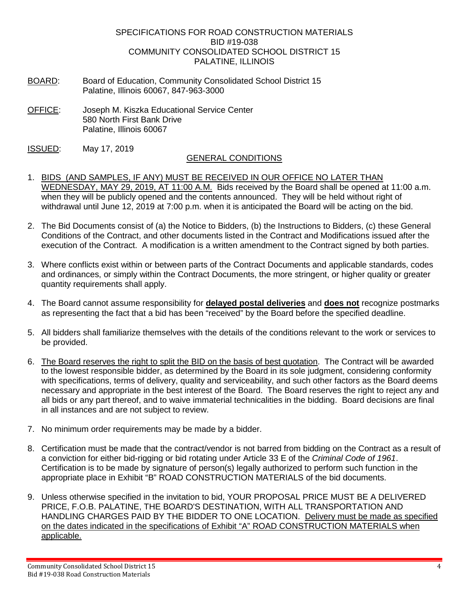#### SPECIFICATIONS FOR ROAD CONSTRUCTION MATERIALS BID #19-038 COMMUNITY CONSOLIDATED SCHOOL DISTRICT 15 PALATINE, ILLINOIS

- BOARD: Board of Education, Community Consolidated School District 15 Palatine, Illinois 60067, 847-963-3000
- OFFICE: Joseph M. Kiszka Educational Service Center 580 North First Bank Drive Palatine, Illinois 60067
- ISSUED: May 17, 2019

#### GENERAL CONDITIONS

- 1. BIDS (AND SAMPLES, IF ANY) MUST BE RECEIVED IN OUR OFFICE NO LATER THAN WEDNESDAY, MAY 29, 2019, AT 11:00 A.M. Bids received by the Board shall be opened at 11:00 a.m. when they will be publicly opened and the contents announced. They will be held without right of withdrawal until June 12, 2019 at 7:00 p.m. when it is anticipated the Board will be acting on the bid.
- 2. The Bid Documents consist of (a) the Notice to Bidders, (b) the Instructions to Bidders, (c) these General Conditions of the Contract, and other documents listed in the Contract and Modifications issued after the execution of the Contract. A modification is a written amendment to the Contract signed by both parties.
- 3. Where conflicts exist within or between parts of the Contract Documents and applicable standards, codes and ordinances, or simply within the Contract Documents, the more stringent, or higher quality or greater quantity requirements shall apply.
- 4. The Board cannot assume responsibility for **delayed postal deliveries** and **does not** recognize postmarks as representing the fact that a bid has been "received" by the Board before the specified deadline.
- 5. All bidders shall familiarize themselves with the details of the conditions relevant to the work or services to be provided.
- 6. The Board reserves the right to split the BID on the basis of best quotation. The Contract will be awarded to the lowest responsible bidder, as determined by the Board in its sole judgment, considering conformity with specifications, terms of delivery, quality and serviceability, and such other factors as the Board deems necessary and appropriate in the best interest of the Board. The Board reserves the right to reject any and all bids or any part thereof, and to waive immaterial technicalities in the bidding. Board decisions are final in all instances and are not subject to review.
- 7. No minimum order requirements may be made by a bidder.
- 8. Certification must be made that the contract/vendor is not barred from bidding on the Contract as a result of a conviction for either bid-rigging or bid rotating under Article 33 E of the *Criminal Code of 1961*. Certification is to be made by signature of person(s) legally authorized to perform such function in the appropriate place in Exhibit "B" ROAD CONSTRUCTION MATERIALS of the bid documents.
- 9. Unless otherwise specified in the invitation to bid, YOUR PROPOSAL PRICE MUST BE A DELIVERED PRICE, F.O.B. PALATINE, THE BOARD'S DESTINATION, WITH ALL TRANSPORTATION AND HANDLING CHARGES PAID BY THE BIDDER TO ONE LOCATION. Delivery must be made as specified on the dates indicated in the specifications of Exhibit "A" ROAD CONSTRUCTION MATERIALS when applicable.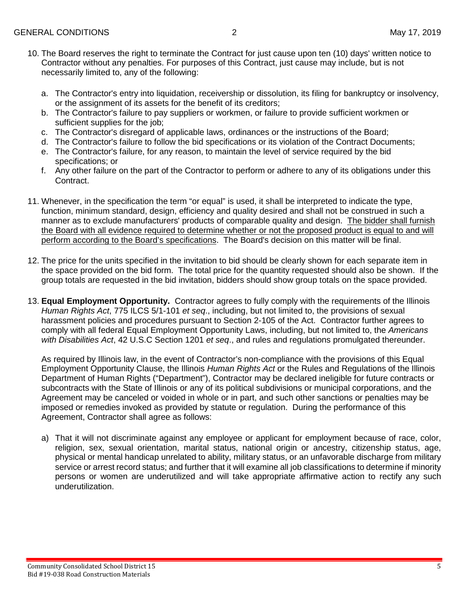- 10. The Board reserves the right to terminate the Contract for just cause upon ten (10) days' written notice to Contractor without any penalties. For purposes of this Contract, just cause may include, but is not necessarily limited to, any of the following:
	- a. The Contractor's entry into liquidation, receivership or dissolution, its filing for bankruptcy or insolvency, or the assignment of its assets for the benefit of its creditors;
	- b. The Contractor's failure to pay suppliers or workmen, or failure to provide sufficient workmen or sufficient supplies for the job;
	- c. The Contractor's disregard of applicable laws, ordinances or the instructions of the Board;
	- d. The Contractor's failure to follow the bid specifications or its violation of the Contract Documents;
	- e. The Contractor's failure, for any reason, to maintain the level of service required by the bid specifications; or
	- f. Any other failure on the part of the Contractor to perform or adhere to any of its obligations under this Contract.
- 11. Whenever, in the specification the term "or equal" is used, it shall be interpreted to indicate the type, function, minimum standard, design, efficiency and quality desired and shall not be construed in such a manner as to exclude manufacturers' products of comparable quality and design. The bidder shall furnish the Board with all evidence required to determine whether or not the proposed product is equal to and will perform according to the Board's specifications. The Board's decision on this matter will be final.
- 12. The price for the units specified in the invitation to bid should be clearly shown for each separate item in the space provided on the bid form. The total price for the quantity requested should also be shown. If the group totals are requested in the bid invitation, bidders should show group totals on the space provided.
- 13. **Equal Employment Opportunity.** Contractor agrees to fully comply with the requirements of the Illinois *Human Rights Act*, 775 ILCS 5/1-101 *et seq*., including, but not limited to, the provisions of sexual harassment policies and procedures pursuant to Section 2-105 of the Act. Contractor further agrees to comply with all federal Equal Employment Opportunity Laws, including, but not limited to, the *Americans with Disabilities Act*, 42 U.S.C Section 1201 *et seq*., and rules and regulations promulgated thereunder.

As required by Illinois law, in the event of Contractor's non-compliance with the provisions of this Equal Employment Opportunity Clause, the Illinois *Human Rights Act* or the Rules and Regulations of the Illinois Department of Human Rights ("Department"), Contractor may be declared ineligible for future contracts or subcontracts with the State of Illinois or any of its political subdivisions or municipal corporations, and the Agreement may be canceled or voided in whole or in part, and such other sanctions or penalties may be imposed or remedies invoked as provided by statute or regulation. During the performance of this Agreement, Contractor shall agree as follows:

a) That it will not discriminate against any employee or applicant for employment because of race, color, religion, sex, sexual orientation, marital status, national origin or ancestry, citizenship status, age, physical or mental handicap unrelated to ability, military status, or an unfavorable discharge from military service or arrest record status; and further that it will examine all job classifications to determine if minority persons or women are underutilized and will take appropriate affirmative action to rectify any such underutilization.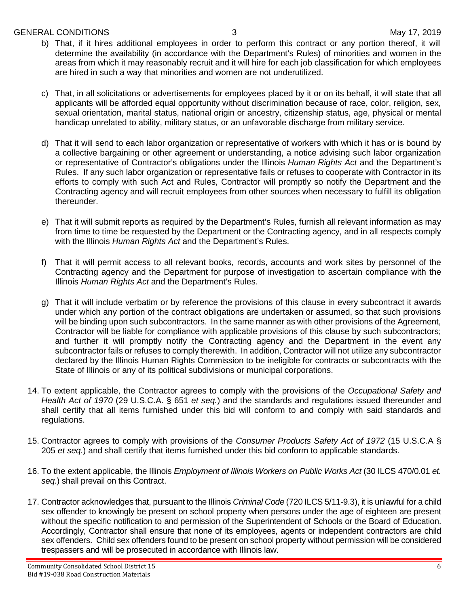#### GENERAL CONDITIONS 3 May 17, 2019

- b) That, if it hires additional employees in order to perform this contract or any portion thereof, it will determine the availability (in accordance with the Department's Rules) of minorities and women in the areas from which it may reasonably recruit and it will hire for each job classification for which employees are hired in such a way that minorities and women are not underutilized.
- c) That, in all solicitations or advertisements for employees placed by it or on its behalf, it will state that all applicants will be afforded equal opportunity without discrimination because of race, color, religion, sex, sexual orientation, marital status, national origin or ancestry, citizenship status, age, physical or mental handicap unrelated to ability, military status, or an unfavorable discharge from military service.
- d) That it will send to each labor organization or representative of workers with which it has or is bound by a collective bargaining or other agreement or understanding, a notice advising such labor organization or representative of Contractor's obligations under the Illinois *Human Rights Act* and the Department's Rules. If any such labor organization or representative fails or refuses to cooperate with Contractor in its efforts to comply with such Act and Rules, Contractor will promptly so notify the Department and the Contracting agency and will recruit employees from other sources when necessary to fulfill its obligation thereunder.
- e) That it will submit reports as required by the Department's Rules, furnish all relevant information as may from time to time be requested by the Department or the Contracting agency, and in all respects comply with the Illinois *Human Rights Act* and the Department's Rules.
- That it will permit access to all relevant books, records, accounts and work sites by personnel of the Contracting agency and the Department for purpose of investigation to ascertain compliance with the Illinois *Human Rights Act* and the Department's Rules.
- g) That it will include verbatim or by reference the provisions of this clause in every subcontract it awards under which any portion of the contract obligations are undertaken or assumed, so that such provisions will be binding upon such subcontractors. In the same manner as with other provisions of the Agreement, Contractor will be liable for compliance with applicable provisions of this clause by such subcontractors; and further it will promptly notify the Contracting agency and the Department in the event any subcontractor fails or refuses to comply therewith. In addition, Contractor will not utilize any subcontractor declared by the Illinois Human Rights Commission to be ineligible for contracts or subcontracts with the State of Illinois or any of its political subdivisions or municipal corporations.
- 14. To extent applicable, the Contractor agrees to comply with the provisions of the *Occupational Safety and Health Act of 1970* (29 U.S.C.A. § 651 *et seq.*) and the standards and regulations issued thereunder and shall certify that all items furnished under this bid will conform to and comply with said standards and regulations.
- 15. Contractor agrees to comply with provisions of the *Consumer Products Safety Act of 1972* (15 U.S.C.A § 205 *et seq.*) and shall certify that items furnished under this bid conform to applicable standards.
- 16. To the extent applicable, the Illinois *Employment of Illinois Workers on Public Works Act* (30 ILCS 470/0.01 *et. seq*.) shall prevail on this Contract.
- 17. Contractor acknowledges that, pursuant to the Illinois *Criminal Code* (720 ILCS 5/11-9.3), it is unlawful for a child sex offender to knowingly be present on school property when persons under the age of eighteen are present without the specific notification to and permission of the Superintendent of Schools or the Board of Education. Accordingly, Contractor shall ensure that none of its employees, agents or independent contractors are child sex offenders. Child sex offenders found to be present on school property without permission will be considered trespassers and will be prosecuted in accordance with Illinois law.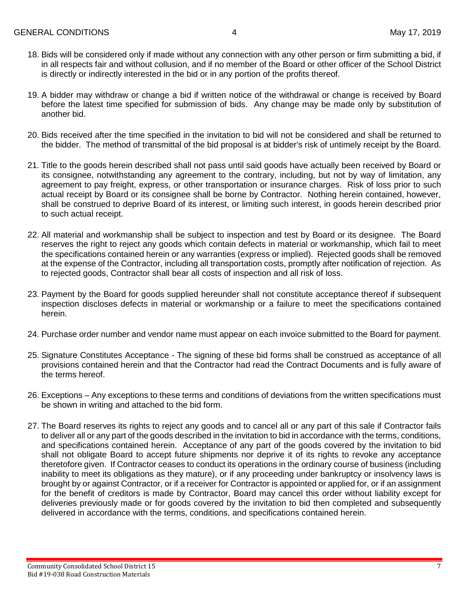- 18. Bids will be considered only if made without any connection with any other person or firm submitting a bid, if in all respects fair and without collusion, and if no member of the Board or other officer of the School District is directly or indirectly interested in the bid or in any portion of the profits thereof.
- 19. A bidder may withdraw or change a bid if written notice of the withdrawal or change is received by Board before the latest time specified for submission of bids. Any change may be made only by substitution of another bid.
- 20. Bids received after the time specified in the invitation to bid will not be considered and shall be returned to the bidder. The method of transmittal of the bid proposal is at bidder's risk of untimely receipt by the Board.
- 21. Title to the goods herein described shall not pass until said goods have actually been received by Board or its consignee, notwithstanding any agreement to the contrary, including, but not by way of limitation, any agreement to pay freight, express, or other transportation or insurance charges. Risk of loss prior to such actual receipt by Board or its consignee shall be borne by Contractor. Nothing herein contained, however, shall be construed to deprive Board of its interest, or limiting such interest, in goods herein described prior to such actual receipt.
- 22. All material and workmanship shall be subject to inspection and test by Board or its designee. The Board reserves the right to reject any goods which contain defects in material or workmanship, which fail to meet the specifications contained herein or any warranties (express or implied). Rejected goods shall be removed at the expense of the Contractor, including all transportation costs, promptly after notification of rejection. As to rejected goods, Contractor shall bear all costs of inspection and all risk of loss.
- 23. Payment by the Board for goods supplied hereunder shall not constitute acceptance thereof if subsequent inspection discloses defects in material or workmanship or a failure to meet the specifications contained herein.
- 24. Purchase order number and vendor name must appear on each invoice submitted to the Board for payment.
- 25. Signature Constitutes Acceptance The signing of these bid forms shall be construed as acceptance of all provisions contained herein and that the Contractor had read the Contract Documents and is fully aware of the terms hereof.
- 26. Exceptions Any exceptions to these terms and conditions of deviations from the written specifications must be shown in writing and attached to the bid form.
- 27. The Board reserves its rights to reject any goods and to cancel all or any part of this sale if Contractor fails to deliver all or any part of the goods described in the invitation to bid in accordance with the terms, conditions, and specifications contained herein. Acceptance of any part of the goods covered by the invitation to bid shall not obligate Board to accept future shipments nor deprive it of its rights to revoke any acceptance theretofore given. If Contractor ceases to conduct its operations in the ordinary course of business (including inability to meet its obligations as they mature), or if any proceeding under bankruptcy or insolvency laws is brought by or against Contractor, or if a receiver for Contractor is appointed or applied for, or if an assignment for the benefit of creditors is made by Contractor, Board may cancel this order without liability except for deliveries previously made or for goods covered by the invitation to bid then completed and subsequently delivered in accordance with the terms, conditions, and specifications contained herein.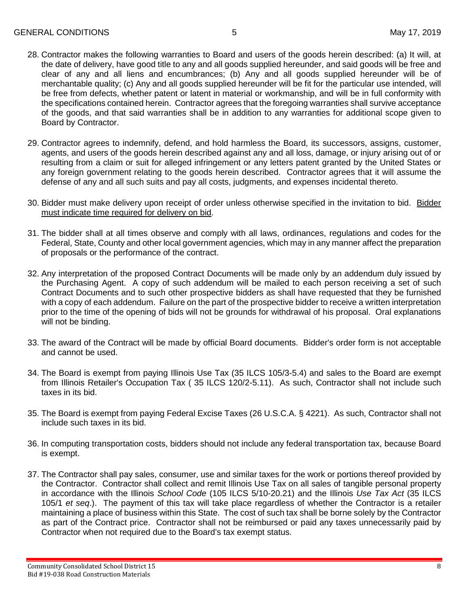- 28. Contractor makes the following warranties to Board and users of the goods herein described: (a) It will, at the date of delivery, have good title to any and all goods supplied hereunder, and said goods will be free and clear of any and all liens and encumbrances; (b) Any and all goods supplied hereunder will be of merchantable quality; (c) Any and all goods supplied hereunder will be fit for the particular use intended, will be free from defects, whether patent or latent in material or workmanship, and will be in full conformity with the specifications contained herein. Contractor agrees that the foregoing warranties shall survive acceptance of the goods, and that said warranties shall be in addition to any warranties for additional scope given to Board by Contractor.
- 29. Contractor agrees to indemnify, defend, and hold harmless the Board, its successors, assigns, customer, agents, and users of the goods herein described against any and all loss, damage, or injury arising out of or resulting from a claim or suit for alleged infringement or any letters patent granted by the United States or any foreign government relating to the goods herein described. Contractor agrees that it will assume the defense of any and all such suits and pay all costs, judgments, and expenses incidental thereto.
- 30. Bidder must make delivery upon receipt of order unless otherwise specified in the invitation to bid. Bidder must indicate time required for delivery on bid.
- 31. The bidder shall at all times observe and comply with all laws, ordinances, regulations and codes for the Federal, State, County and other local government agencies, which may in any manner affect the preparation of proposals or the performance of the contract.
- 32. Any interpretation of the proposed Contract Documents will be made only by an addendum duly issued by the Purchasing Agent. A copy of such addendum will be mailed to each person receiving a set of such Contract Documents and to such other prospective bidders as shall have requested that they be furnished with a copy of each addendum. Failure on the part of the prospective bidder to receive a written interpretation prior to the time of the opening of bids will not be grounds for withdrawal of his proposal. Oral explanations will not be binding.
- 33. The award of the Contract will be made by official Board documents. Bidder's order form is not acceptable and cannot be used.
- 34. The Board is exempt from paying Illinois Use Tax (35 ILCS 105/3-5.4) and sales to the Board are exempt from Illinois Retailer's Occupation Tax ( 35 ILCS 120/2-5.11). As such, Contractor shall not include such taxes in its bid.
- 35. The Board is exempt from paying Federal Excise Taxes (26 U.S.C.A. § 4221). As such, Contractor shall not include such taxes in its bid.
- 36. In computing transportation costs, bidders should not include any federal transportation tax, because Board is exempt.
- 37. The Contractor shall pay sales, consumer, use and similar taxes for the work or portions thereof provided by the Contractor. Contractor shall collect and remit Illinois Use Tax on all sales of tangible personal property in accordance with the Illinois *School Code* (105 ILCS 5/10-20.21) and the Illinois *Use Tax Act* (35 ILCS 105/1 *et seq*.). The payment of this tax will take place regardless of whether the Contractor is a retailer maintaining a place of business within this State. The cost of such tax shall be borne solely by the Contractor as part of the Contract price. Contractor shall not be reimbursed or paid any taxes unnecessarily paid by Contractor when not required due to the Board's tax exempt status.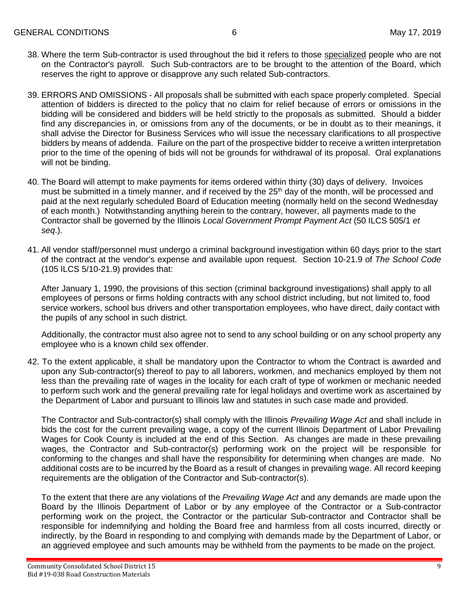- 38. Where the term Sub-contractor is used throughout the bid it refers to those specialized people who are not on the Contractor's payroll. Such Sub-contractors are to be brought to the attention of the Board, which reserves the right to approve or disapprove any such related Sub-contractors.
- 39. ERRORS AND OMISSIONS All proposals shall be submitted with each space properly completed. Special attention of bidders is directed to the policy that no claim for relief because of errors or omissions in the bidding will be considered and bidders will be held strictly to the proposals as submitted. Should a bidder find any discrepancies in, or omissions from any of the documents, or be in doubt as to their meanings, it shall advise the Director for Business Services who will issue the necessary clarifications to all prospective bidders by means of addenda. Failure on the part of the prospective bidder to receive a written interpretation prior to the time of the opening of bids will not be grounds for withdrawal of its proposal. Oral explanations will not be binding.
- 40. The Board will attempt to make payments for items ordered within thirty (30) days of delivery. Invoices must be submitted in a timely manner, and if received by the 25<sup>th</sup> day of the month, will be processed and paid at the next regularly scheduled Board of Education meeting (normally held on the second Wednesday of each month.) Notwithstanding anything herein to the contrary, however, all payments made to the Contractor shall be governed by the Illinois *Local Government Prompt Payment Act* (50 ILCS 505/1 *et seq*.).
- 41. All vendor staff/personnel must undergo a criminal background investigation within 60 days prior to the start of the contract at the vendor's expense and available upon request. Section 10-21.9 of *The School Code* (105 ILCS 5/10-21.9) provides that:

After January 1, 1990, the provisions of this section (criminal background investigations) shall apply to all employees of persons or firms holding contracts with any school district including, but not limited to, food service workers, school bus drivers and other transportation employees, who have direct, daily contact with the pupils of any school in such district.

Additionally, the contractor must also agree not to send to any school building or on any school property any employee who is a known child sex offender.

42. To the extent applicable, it shall be mandatory upon the Contractor to whom the Contract is awarded and upon any Sub-contractor(s) thereof to pay to all laborers, workmen, and mechanics employed by them not less than the prevailing rate of wages in the locality for each craft of type of workmen or mechanic needed to perform such work and the general prevailing rate for legal holidays and overtime work as ascertained by the Department of Labor and pursuant to Illinois law and statutes in such case made and provided.

The Contractor and Sub-contractor(s) shall comply with the Illinois *Prevailing Wage Act* and shall include in bids the cost for the current prevailing wage, a copy of the current Illinois Department of Labor Prevailing Wages for Cook County is included at the end of this Section. As changes are made in these prevailing wages, the Contractor and Sub-contractor(s) performing work on the project will be responsible for conforming to the changes and shall have the responsibility for determining when changes are made. No additional costs are to be incurred by the Board as a result of changes in prevailing wage. All record keeping requirements are the obligation of the Contractor and Sub-contractor(s).

To the extent that there are any violations of the *Prevailing Wage Act* and any demands are made upon the Board by the Illinois Department of Labor or by any employee of the Contractor or a Sub-contractor performing work on the project, the Contractor or the particular Sub-contractor and Contractor shall be responsible for indemnifying and holding the Board free and harmless from all costs incurred, directly or indirectly, by the Board in responding to and complying with demands made by the Department of Labor, or an aggrieved employee and such amounts may be withheld from the payments to be made on the project.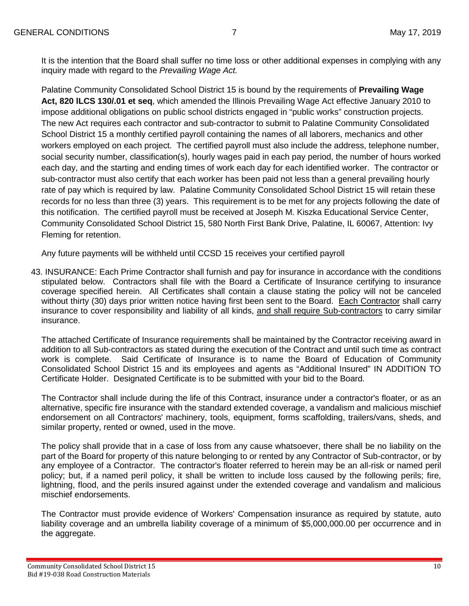It is the intention that the Board shall suffer no time loss or other additional expenses in complying with any inquiry made with regard to the *Prevailing Wage Act.*

Palatine Community Consolidated School District 15 is bound by the requirements of **Prevailing Wage Act, 820 lLCS 130/.01 et seq**, which amended the Illinois Prevailing Wage Act effective January 2010 to impose additional obligations on public school districts engaged in "public works" construction projects. The new Act requires each contractor and sub-contractor to submit to Palatine Community Consolidated School District 15 a monthly certified payroll containing the names of all laborers, mechanics and other workers employed on each project. The certified payroll must also include the address, telephone number, social security number, classification(s), hourly wages paid in each pay period, the number of hours worked each day, and the starting and ending times of work each day for each identified worker. The contractor or sub-contractor must also certify that each worker has been paid not less than a general prevailing hourly rate of pay which is required by law. Palatine Community Consolidated School District 15 will retain these records for no less than three (3) years. This requirement is to be met for any projects following the date of this notification. The certified payroll must be received at Joseph M. Kiszka Educational Service Center, Community Consolidated School District 15, 580 North First Bank Drive, Palatine, IL 60067, Attention: Ivy Fleming for retention.

Any future payments will be withheld until CCSD 15 receives your certified payroll

43. INSURANCE: Each Prime Contractor shall furnish and pay for insurance in accordance with the conditions stipulated below. Contractors shall file with the Board a Certificate of Insurance certifying to insurance coverage specified herein. All Certificates shall contain a clause stating the policy will not be canceled without thirty (30) days prior written notice having first been sent to the Board. Each Contractor shall carry insurance to cover responsibility and liability of all kinds, and shall require Sub-contractors to carry similar insurance.

The attached Certificate of Insurance requirements shall be maintained by the Contractor receiving award in addition to all Sub-contractors as stated during the execution of the Contract and until such time as contract work is complete. Said Certificate of Insurance is to name the Board of Education of Community Consolidated School District 15 and its employees and agents as "Additional Insured" IN ADDITION TO Certificate Holder. Designated Certificate is to be submitted with your bid to the Board.

The Contractor shall include during the life of this Contract, insurance under a contractor's floater, or as an alternative, specific fire insurance with the standard extended coverage, a vandalism and malicious mischief endorsement on all Contractors' machinery, tools, equipment, forms scaffolding, trailers/vans, sheds, and similar property, rented or owned, used in the move.

The policy shall provide that in a case of loss from any cause whatsoever, there shall be no liability on the part of the Board for property of this nature belonging to or rented by any Contractor of Sub-contractor, or by any employee of a Contractor. The contractor's floater referred to herein may be an all-risk or named peril policy; but, if a named peril policy, it shall be written to include loss caused by the following perils; fire, lightning, flood, and the perils insured against under the extended coverage and vandalism and malicious mischief endorsements.

The Contractor must provide evidence of Workers' Compensation insurance as required by statute, auto liability coverage and an umbrella liability coverage of a minimum of \$5,000,000.00 per occurrence and in the aggregate.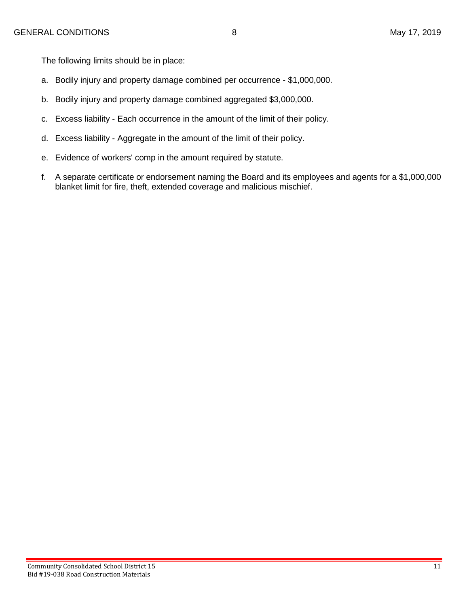The following limits should be in place:

- a. Bodily injury and property damage combined per occurrence \$1,000,000.
- b. Bodily injury and property damage combined aggregated \$3,000,000.
- c. Excess liability Each occurrence in the amount of the limit of their policy.
- d. Excess liability Aggregate in the amount of the limit of their policy.
- e. Evidence of workers' comp in the amount required by statute.
- f. A separate certificate or endorsement naming the Board and its employees and agents for a \$1,000,000 blanket limit for fire, theft, extended coverage and malicious mischief.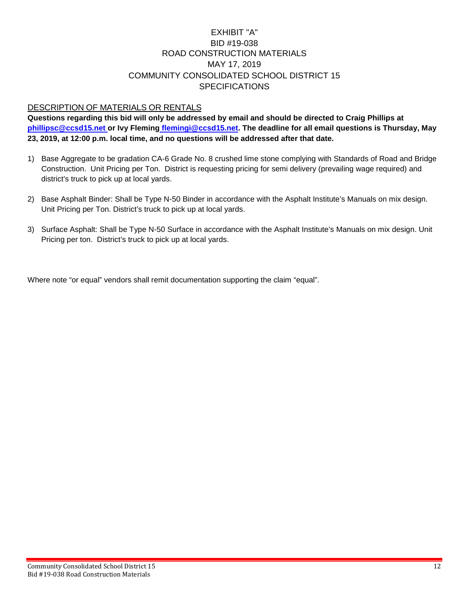### EXHIBIT "A" BID #19-038 ROAD CONSTRUCTION MATERIALS MAY 17, 2019 COMMUNITY CONSOLIDATED SCHOOL DISTRICT 15 **SPECIFICATIONS**

### DESCRIPTION OF MATERIALS OR RENTALS

**Questions regarding this bid will only be addressed by email and should be directed to Craig Phillips at [phillipsc@ccsd15.net](mailto:phillipsc@ccsd15.net) or Ivy Fleming flemingi@ccsd15.net. The deadline for all email questions is Thursday, May 23, 2019, at 12:00 p.m. local time, and no questions will be addressed after that date.**

- 1) Base Aggregate to be gradation CA-6 Grade No. 8 crushed lime stone complying with Standards of Road and Bridge Construction. Unit Pricing per Ton. District is requesting pricing for semi delivery (prevailing wage required) and district's truck to pick up at local yards.
- 2) Base Asphalt Binder: Shall be Type N-50 Binder in accordance with the Asphalt Institute's Manuals on mix design. Unit Pricing per Ton. District's truck to pick up at local yards.
- 3) Surface Asphalt: Shall be Type N-50 Surface in accordance with the Asphalt Institute's Manuals on mix design. Unit Pricing per ton. District's truck to pick up at local yards.

Where note "or equal" vendors shall remit documentation supporting the claim "equal".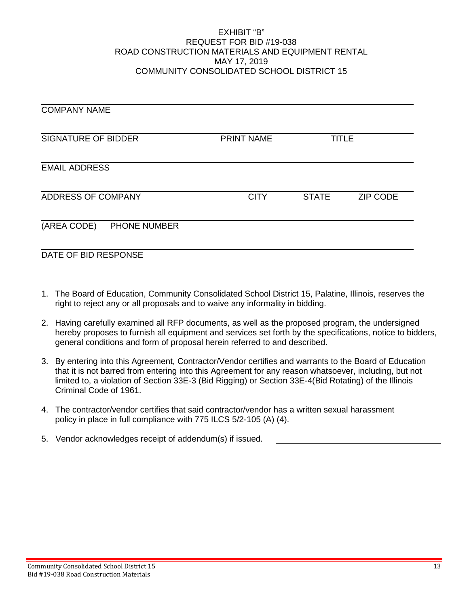#### EXHIBIT "B" REQUEST FOR BID #19-038 ROAD CONSTRUCTION MATERIALS AND EQUIPMENT RENTAL MAY 17, 2019 COMMUNITY CONSOLIDATED SCHOOL DISTRICT 15

| <b>COMPANY NAME</b>         |                   |              |                 |
|-----------------------------|-------------------|--------------|-----------------|
| <b>SIGNATURE OF BIDDER</b>  | <b>PRINT NAME</b> | <b>TITLE</b> |                 |
| <b>EMAIL ADDRESS</b>        |                   |              |                 |
| ADDRESS OF COMPANY          | <b>CITY</b>       | <b>STATE</b> | <b>ZIP CODE</b> |
| (AREA CODE)<br>PHONE NUMBER |                   |              |                 |
| DATE OF BID RESPONSE        |                   |              |                 |

- 1. The Board of Education, Community Consolidated School District 15, Palatine, Illinois, reserves the right to reject any or all proposals and to waive any informality in bidding.
- 2. Having carefully examined all RFP documents, as well as the proposed program, the undersigned hereby proposes to furnish all equipment and services set forth by the specifications, notice to bidders, general conditions and form of proposal herein referred to and described.
- 3. By entering into this Agreement, Contractor/Vendor certifies and warrants to the Board of Education that it is not barred from entering into this Agreement for any reason whatsoever, including, but not limited to, a violation of Section 33E-3 (Bid Rigging) or Section 33E-4(Bid Rotating) of the Illinois Criminal Code of 1961.
- 4. The contractor/vendor certifies that said contractor/vendor has a written sexual harassment policy in place in full compliance with 775 ILCS 5/2-105 (A) (4).
- 5. Vendor acknowledges receipt of addendum(s) if issued.